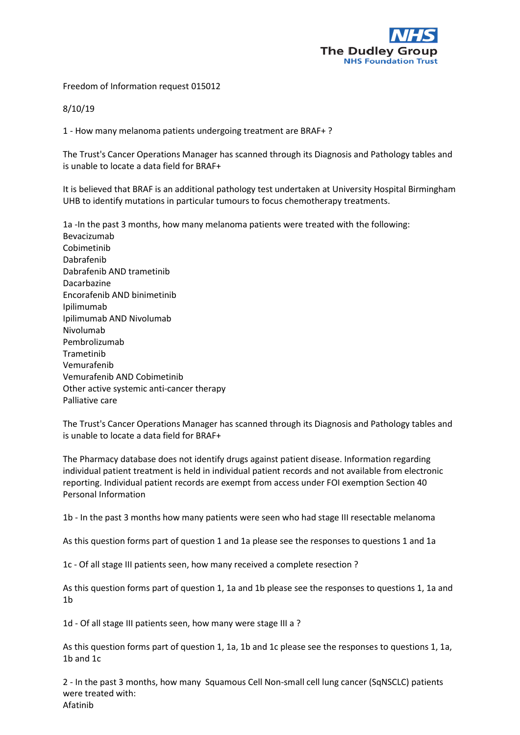

Freedom of Information request 015012

8/10/19

1 - How many melanoma patients undergoing treatment are BRAF+ ?

The Trust's Cancer Operations Manager has scanned through its Diagnosis and Pathology tables and is unable to locate a data field for BRAF+

It is believed that BRAF is an additional pathology test undertaken at University Hospital Birmingham UHB to identify mutations in particular tumours to focus chemotherapy treatments.

1a -In the past 3 months, how many melanoma patients were treated with the following: Bevacizumab Cobimetinib Dabrafenib Dabrafenib AND trametinib Dacarbazine Encorafenib AND binimetinib Ipilimumab Ipilimumab AND Nivolumab Nivolumab Pembrolizumab Trametinib Vemurafenib Vemurafenib AND Cobimetinib Other active systemic anti-cancer therapy Palliative care

The Trust's Cancer Operations Manager has scanned through its Diagnosis and Pathology tables and is unable to locate a data field for BRAF+

The Pharmacy database does not identify drugs against patient disease. Information regarding individual patient treatment is held in individual patient records and not available from electronic reporting. Individual patient records are exempt from access under FOI exemption Section 40 Personal Information

1b - In the past 3 months how many patients were seen who had stage III resectable melanoma

As this question forms part of question 1 and 1a please see the responses to questions 1 and 1a

1c - Of all stage III patients seen, how many received a complete resection ?

As this question forms part of question 1, 1a and 1b please see the responses to questions 1, 1a and 1b

1d - Of all stage III patients seen, how many were stage III a ?

As this question forms part of question 1, 1a, 1b and 1c please see the responses to questions 1, 1a, 1b and 1c

2 - In the past 3 months, how many Squamous Cell Non-small cell lung cancer (SqNSCLC) patients were treated with: Afatinib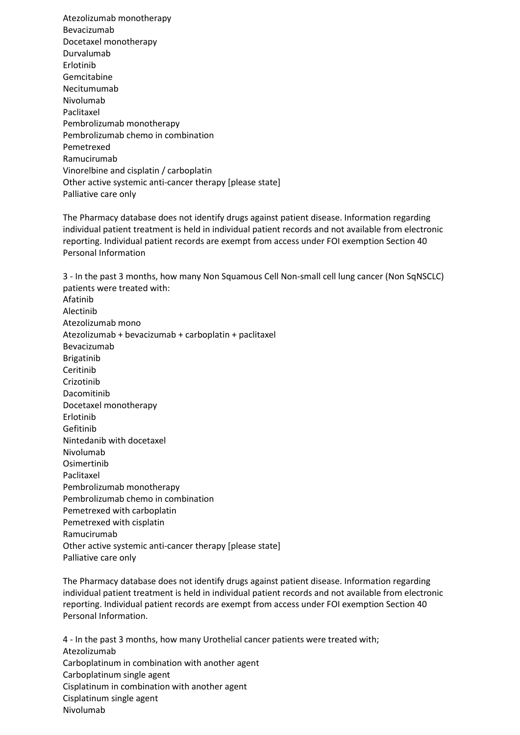Atezolizumab monotherapy Bevacizumab Docetaxel monotherapy Durvalumab Erlotinib Gemcitabine Necitumumab Nivolumab Paclitaxel Pembrolizumab monotherapy Pembrolizumab chemo in combination Pemetrexed Ramucirumab Vinorelbine and cisplatin / carboplatin Other active systemic anti-cancer therapy [please state] Palliative care only

The Pharmacy database does not identify drugs against patient disease. Information regarding individual patient treatment is held in individual patient records and not available from electronic reporting. Individual patient records are exempt from access under FOI exemption Section 40 Personal Information

3 - In the past 3 months, how many Non Squamous Cell Non-small cell lung cancer (Non SqNSCLC) patients were treated with: Afatinib Alectinib Atezolizumab mono Atezolizumab + bevacizumab + carboplatin + paclitaxel Bevacizumab Brigatinib Ceritinib Crizotinib Dacomitinib Docetaxel monotherapy Erlotinib Gefitinib Nintedanib with docetaxel Nivolumab Osimertinib Paclitaxel Pembrolizumab monotherapy Pembrolizumab chemo in combination Pemetrexed with carboplatin Pemetrexed with cisplatin Ramucirumab Other active systemic anti-cancer therapy [please state] Palliative care only

The Pharmacy database does not identify drugs against patient disease. Information regarding individual patient treatment is held in individual patient records and not available from electronic reporting. Individual patient records are exempt from access under FOI exemption Section 40 Personal Information.

4 - In the past 3 months, how many Urothelial cancer patients were treated with; Atezolizumab Carboplatinum in combination with another agent Carboplatinum single agent Cisplatinum in combination with another agent Cisplatinum single agent Nivolumab